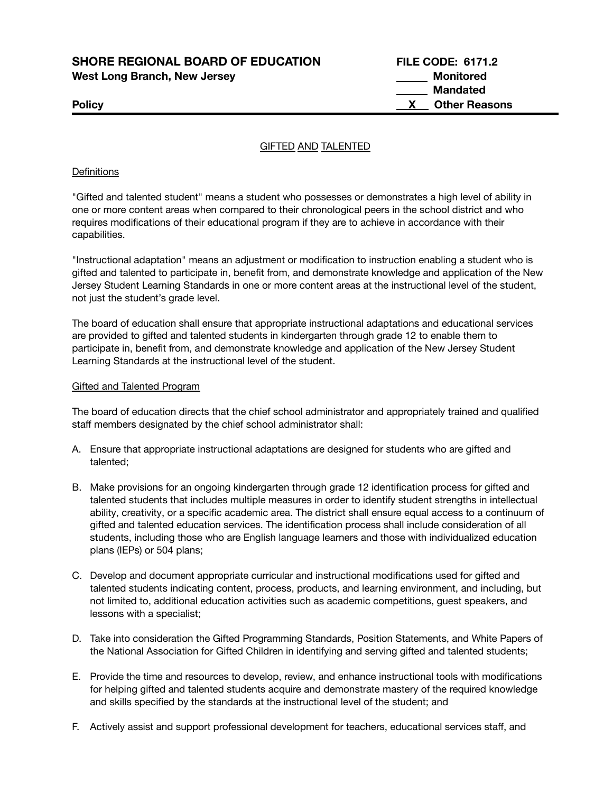**SHORE REGIONAL BOARD OF EDUCATION FILE CODE: 6171.2 West Long Branch, New Jersey Monitored**

**Mandated Policy X Other Reasons**

## GIFTED AND TALENTED

#### **Definitions**

"Gifted and talented student" means a student who possesses or demonstrates a high level of ability in one or more content areas when compared to their chronological peers in the school district and who requires modifications of their educational program if they are to achieve in accordance with their capabilities.

"Instructional adaptation" means an adjustment or modification to instruction enabling a student who is gifted and talented to participate in, benefit from, and demonstrate knowledge and application of the New Jersey Student Learning Standards in one or more content areas at the instructional level of the student, not just the student's grade level.

The board of education shall ensure that appropriate instructional adaptations and educational services are provided to gifted and talented students in kindergarten through grade 12 to enable them to participate in, benefit from, and demonstrate knowledge and application of the New Jersey Student Learning Standards at the instructional level of the student.

#### Gifted and Talented Program

The board of education directs that the chief school administrator and appropriately trained and qualified staff members designated by the chief school administrator shall:

- A. Ensure that appropriate instructional adaptations are designed for students who are gifted and talented;
- B. Make provisions for an ongoing kindergarten through grade 12 identification process for gifted and talented students that includes multiple measures in order to identify student strengths in intellectual ability, creativity, or a specific academic area. The district shall ensure equal access to a continuum of gifted and talented education services. The identification process shall include consideration of all students, including those who are English language learners and those with individualized education plans (IEPs) or 504 plans;
- C. Develop and document appropriate curricular and instructional modifications used for gifted and talented students indicating content, process, products, and learning environment, and including, but not limited to, additional education activities such as academic competitions, guest speakers, and lessons with a specialist;
- D. Take into consideration the Gifted Programming Standards, Position Statements, and White Papers of the National Association for Gifted Children in identifying and serving gifted and talented students;
- E. Provide the time and resources to develop, review, and enhance instructional tools with modifications for helping gifted and talented students acquire and demonstrate mastery of the required knowledge and skills specified by the standards at the instructional level of the student; and
- F. Actively assist and support professional development for teachers, educational services staff, and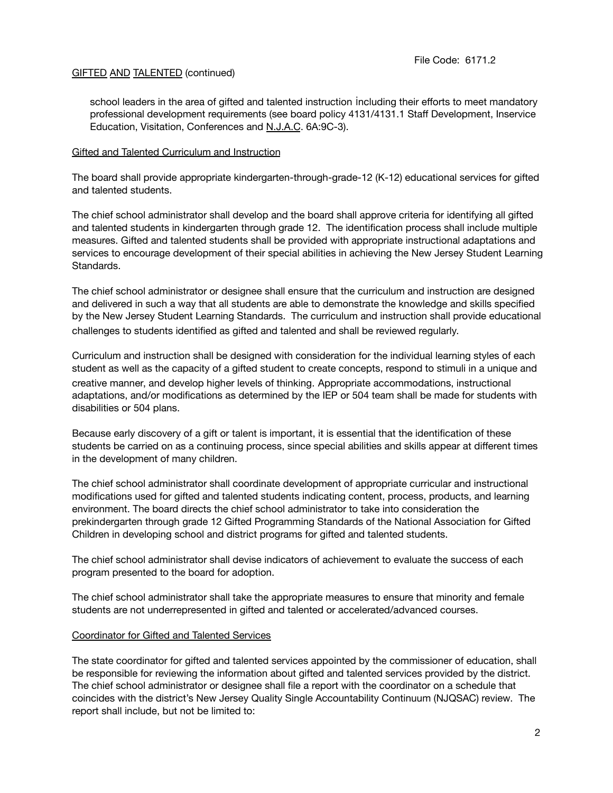## **GIFTED AND TALENTED (continued)**

school leaders in the area of gifted and talented instruction including their efforts to meet mandatory professional development requirements (see board policy 4131/4131.1 Staff Development, Inservice Education, Visitation, Conferences and N.J.A.C. 6A:9C-3).

### Gifted and Talented Curriculum and Instruction

The board shall provide appropriate kindergarten-through-grade-12 (K-12) educational services for gifted and talented students.

The chief school administrator shall develop and the board shall approve criteria for identifying all gifted and talented students in kindergarten through grade 12. The identification process shall include multiple measures. Gifted and talented students shall be provided with appropriate instructional adaptations and services to encourage development of their special abilities in achieving the New Jersey Student Learning Standards.

The chief school administrator or designee shall ensure that the curriculum and instruction are designed and delivered in such a way that all students are able to demonstrate the knowledge and skills specified by the New Jersey Student Learning Standards. The curriculum and instruction shall provide educational challenges to students identified as gifted and talented and shall be reviewed regularly.

Curriculum and instruction shall be designed with consideration for the individual learning styles of each student as well as the capacity of a gifted student to create concepts, respond to stimuli in a unique and creative manner, and develop higher levels of thinking. Appropriate accommodations, instructional adaptations, and/or modifications as determined by the IEP or 504 team shall be made for students with disabilities or 504 plans.

Because early discovery of a gift or talent is important, it is essential that the identification of these students be carried on as a continuing process, since special abilities and skills appear at different times in the development of many children.

The chief school administrator shall coordinate development of appropriate curricular and instructional modifications used for gifted and talented students indicating content, process, products, and learning environment. The board directs the chief school administrator to take into consideration the prekindergarten through grade 12 Gifted Programming Standards of the National Association for Gifted Children in developing school and district programs for gifted and talented students.

The chief school administrator shall devise indicators of achievement to evaluate the success of each program presented to the board for adoption.

The chief school administrator shall take the appropriate measures to ensure that minority and female students are not underrepresented in gifted and talented or accelerated/advanced courses.

#### Coordinator for Gifted and Talented Services

The state coordinator for gifted and talented services appointed by the commissioner of education, shall be responsible for reviewing the information about gifted and talented services provided by the district. The chief school administrator or designee shall file a report with the coordinator on a schedule that coincides with the district's New Jersey Quality Single Accountability Continuum (NJQSAC) review. The report shall include, but not be limited to: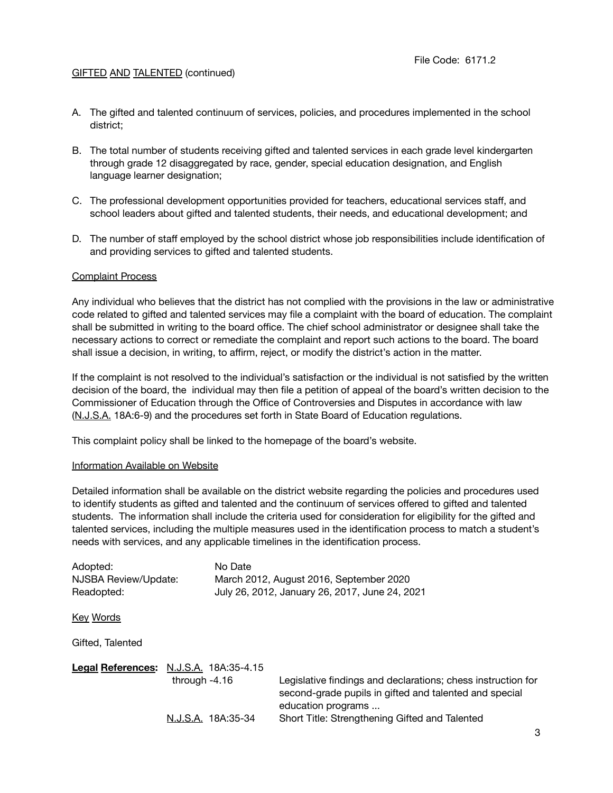## **GIFTED AND TALENTED (continued)**

- A. The gifted and talented continuum of services, policies, and procedures implemented in the school district;
- B. The total number of students receiving gifted and talented services in each grade level kindergarten through grade 12 disaggregated by race, gender, special education designation, and English language learner designation;
- C. The professional development opportunities provided for teachers, educational services staff, and school leaders about gifted and talented students, their needs, and educational development; and
- D. The number of staff employed by the school district whose job responsibilities include identification of and providing services to gifted and talented students.

## Complaint Process

Any individual who believes that the district has not complied with the provisions in the law or administrative code related to gifted and talented services may file a complaint with the board of education. The complaint shall be submitted in writing to the board office. The chief school administrator or designee shall take the necessary actions to correct or remediate the complaint and report such actions to the board. The board shall issue a decision, in writing, to affirm, reject, or modify the district's action in the matter.

If the complaint is not resolved to the individual's satisfaction or the individual is not satisfied by the written decision of the board, the individual may then file a petition of appeal of the board's written decision to the Commissioner of Education through the Office of Controversies and Disputes in accordance with law (N.J.S.A. 18A:6-9) and the procedures set forth in State Board of Education regulations.

This complaint policy shall be linked to the homepage of the board's website.

#### Information Available on Website

Detailed information shall be available on the district website regarding the policies and procedures used to identify students as gifted and talented and the continuum of services offered to gifted and talented students. The information shall include the criteria used for consideration for eligibility for the gifted and talented services, including the multiple measures used in the identification process to match a student's needs with services, and any applicable timelines in the identification process.

| Adopted:             |                 | No Date              |                                                              |
|----------------------|-----------------|----------------------|--------------------------------------------------------------|
| NJSBA Review/Update: |                 |                      | March 2012, August 2016, September 2020                      |
| Readopted:           |                 |                      | July 26, 2012, January 26, 2017, June 24, 2021               |
|                      |                 |                      |                                                              |
| Key Words            |                 |                      |                                                              |
|                      |                 |                      |                                                              |
| Gifted. Talented     |                 |                      |                                                              |
|                      |                 |                      |                                                              |
| Legal References:    |                 | N.J.S.A. 18A:35-4.15 |                                                              |
|                      | through $-4.16$ |                      | Legislative findings and declarations; chess instruction for |
|                      |                 |                      | second-grade pupils in gifted and talented and special       |
|                      |                 |                      | education programs                                           |
|                      |                 | N.J.S.A. 18A:35-34   | Short Title: Strengthening Gifted and Talented               |
|                      |                 |                      |                                                              |